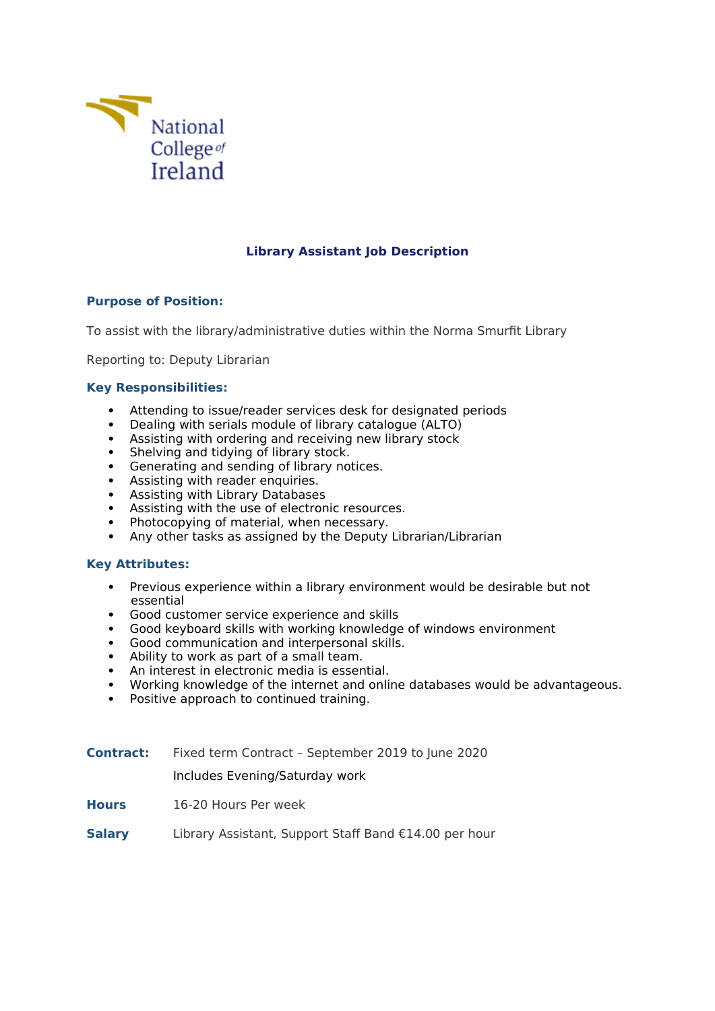

# **Library Assistant Job Description**

# **Purpose of Position:**

To assist with the library/administrative duties within the Norma Smurfit Library

Reporting to: Deputy Librarian

# **Key Responsibilities:**

- Attending to issue/reader services desk for designated periods
- Dealing with serials module of library catalogue (ALTO)
- Assisting with ordering and receiving new library stock
- Shelving and tidying of library stock.
- Generating and sending of library notices.<br>• Assisting with reader enquiries.
- Assisting with reader enquiries.
- Assisting with Library Databases
- Assisting with the use of electronic resources.
- Photocopying of material, when necessary.
- Any other tasks as assigned by the Deputy Librarian/Librarian

# **Key Attributes:**

- Previous experience within a library environment would be desirable but not essential
- Good customer service experience and skills
- Good keyboard skills with working knowledge of windows environment
- Good communication and interpersonal skills.
- Ability to work as part of a small team.
- An interest in electronic media is essential.
- Working knowledge of the internet and online databases would be advantageous.
- Positive approach to continued training.
- **Contract:** Fixed term Contract September 2019 to June 2020

Includes Evening/Saturday work

- **Hours** 16-20 Hours Per week
- **Salary** Library Assistant, Support Staff Band €14.00 per hour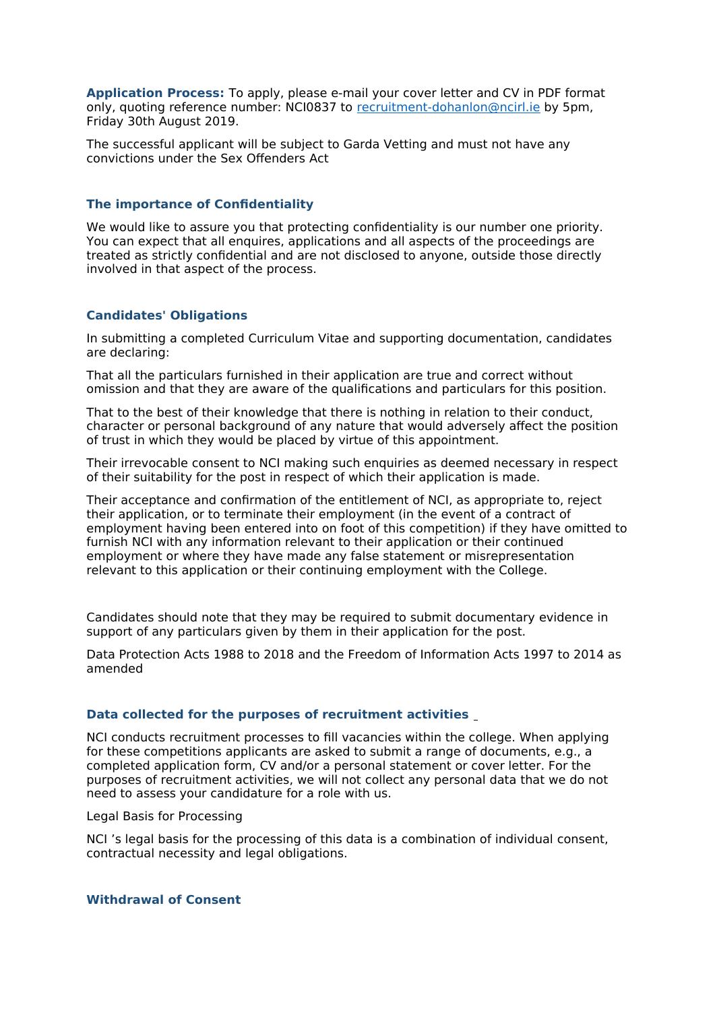**Application Process:** To apply, please e-mail your cover letter and CV in PDF format only, quoting reference number: NCI0837 to [recruitment-dohanlon@ncirl.ie](mailto:recruitment-dohanlon@ncirl.ie) by 5pm, Friday 30th August 2019.

The successful applicant will be subject to Garda Vetting and must not have any convictions under the Sex Offenders Act

### **The importance of Confidentiality**

We would like to assure you that protecting confidentiality is our number one priority. You can expect that all enquires, applications and all aspects of the proceedings are treated as strictly confidential and are not disclosed to anyone, outside those directly involved in that aspect of the process.

# **Candidates' Obligations**

In submitting a completed Curriculum Vitae and supporting documentation, candidates are declaring:

That all the particulars furnished in their application are true and correct without omission and that they are aware of the qualifications and particulars for this position.

That to the best of their knowledge that there is nothing in relation to their conduct, character or personal background of any nature that would adversely affect the position of trust in which they would be placed by virtue of this appointment.

Their irrevocable consent to NCI making such enquiries as deemed necessary in respect of their suitability for the post in respect of which their application is made.

Their acceptance and confirmation of the entitlement of NCI, as appropriate to, reject their application, or to terminate their employment (in the event of a contract of employment having been entered into on foot of this competition) if they have omitted to furnish NCI with any information relevant to their application or their continued employment or where they have made any false statement or misrepresentation relevant to this application or their continuing employment with the College.

Candidates should note that they may be required to submit documentary evidence in support of any particulars given by them in their application for the post.

Data Protection Acts 1988 to 2018 and the Freedom of Information Acts 1997 to 2014 as amended

### **Data collected for the purposes of recruitment activities**

NCI conducts recruitment processes to fill vacancies within the college. When applying for these competitions applicants are asked to submit a range of documents, e.g., a completed application form, CV and/or a personal statement or cover letter. For the purposes of recruitment activities, we will not collect any personal data that we do not need to assess your candidature for a role with us.

Legal Basis for Processing

NCI 's legal basis for the processing of this data is a combination of individual consent, contractual necessity and legal obligations.

### **Withdrawal of Consent**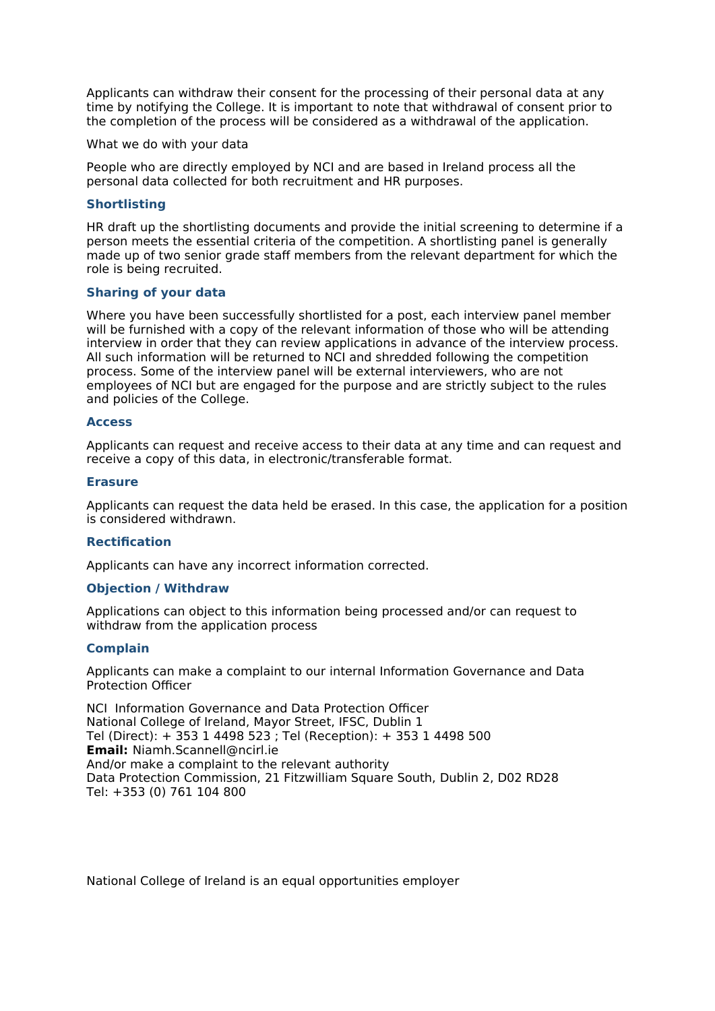Applicants can withdraw their consent for the processing of their personal data at any time by notifying the College. It is important to note that withdrawal of consent prior to the completion of the process will be considered as a withdrawal of the application.

#### What we do with your data

People who are directly employed by NCI and are based in Ireland process all the personal data collected for both recruitment and HR purposes.

### **Shortlisting**

HR draft up the shortlisting documents and provide the initial screening to determine if a person meets the essential criteria of the competition. A shortlisting panel is generally made up of two senior grade staff members from the relevant department for which the role is being recruited.

### **Sharing of your data**

Where you have been successfully shortlisted for a post, each interview panel member will be furnished with a copy of the relevant information of those who will be attending interview in order that they can review applications in advance of the interview process. All such information will be returned to NCI and shredded following the competition process. Some of the interview panel will be external interviewers, who are not employees of NCI but are engaged for the purpose and are strictly subject to the rules and policies of the College.

#### **Access**

Applicants can request and receive access to their data at any time and can request and receive a copy of this data, in electronic/transferable format.

#### **Erasure**

Applicants can request the data held be erased. In this case, the application for a position is considered withdrawn.

#### **Rectification**

Applicants can have any incorrect information corrected.

# **Objection / Withdraw**

Applications can object to this information being processed and/or can request to withdraw from the application process

# **Complain**

Applicants can make a complaint to our internal Information Governance and Data Protection Officer

NCI Information Governance and Data Protection Officer National College of Ireland, Mayor Street, IFSC, Dublin 1 Tel (Direct): + 353 1 4498 523 ; Tel (Reception): + 353 1 4498 500 **Email:** [Niamh.Scannell@ncirl.ie](mailto:Niamh.Scannell@ncirl.ie) And/or make a complaint to the relevant authority Data Protection Commission, 21 Fitzwilliam Square South, Dublin 2, D02 RD28 Tel: +353 (0) 761 104 800

National College of Ireland is an equal opportunities employer